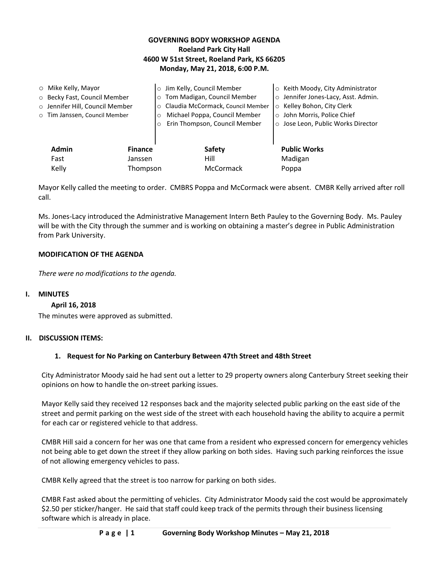## **GOVERNING BODY WORKSHOP AGENDA Roeland Park City Hall 4600 W 51st Street, Roeland Park, KS 66205 Monday, May 21, 2018, 6:00 P.M.**

|                                                                                 | Jose Leon, Public Works Director |
|---------------------------------------------------------------------------------|----------------------------------|
| <b>Admin</b><br><b>Public Works</b><br>Safety<br><b>Finance</b><br>Hill<br>Fast |                                  |
| Madigan<br>Janssen<br>Kelly<br>Thompson<br>McCormack<br>Poppa                   |                                  |

Mayor Kelly called the meeting to order. CMBRS Poppa and McCormack were absent. CMBR Kelly arrived after roll call.

Ms. Jones-Lacy introduced the Administrative Management Intern Beth Pauley to the Governing Body. Ms. Pauley will be with the City through the summer and is working on obtaining a master's degree in Public Administration from Park University.

## **MODIFICATION OF THE AGENDA**

*There were no modifications to the agenda.* 

### **I. MINUTES**

### **April 16, 2018**

The minutes were approved as submitted.

### **II. DISCUSSION ITEMS:**

## **1. Request for No Parking on Canterbury Between 47th Street and 48th Street**

City Administrator Moody said he had sent out a letter to 29 property owners along Canterbury Street seeking their opinions on how to handle the on-street parking issues.

Mayor Kelly said they received 12 responses back and the majority selected public parking on the east side of the street and permit parking on the west side of the street with each household having the ability to acquire a permit for each car or registered vehicle to that address.

CMBR Hill said a concern for her was one that came from a resident who expressed concern for emergency vehicles not being able to get down the street if they allow parking on both sides. Having such parking reinforces the issue of not allowing emergency vehicles to pass.

CMBR Kelly agreed that the street is too narrow for parking on both sides.

CMBR Fast asked about the permitting of vehicles. City Administrator Moody said the cost would be approximately \$2.50 per sticker/hanger. He said that staff could keep track of the permits through their business licensing software which is already in place.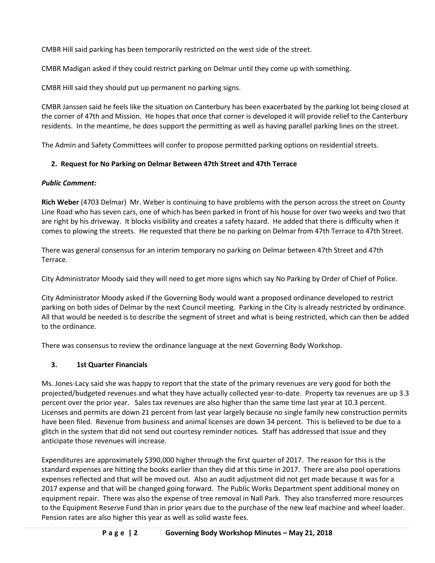CMBR Hill said parking has been temporarily restricted on the west side of the street.

CMBR Madigan asked if they could restrict parking on Delmar until they come up with something.

CMBR Hill said they should put up permanent no parking signs.

CMBR Janssen said he feels like the situation on Canterbury has been exacerbated by the parking lot being closed at the corner of 47th and Mission. He hopes that once that corner is developed it will provide relief to the Canterbury residents. In the meantime, he does support the permitting as well as having parallel parking lines on the street.

The Admin and Safety Committees will confer to propose permitted parking options on residential streets.

# **2. Request for No Parking on Delmar Between 47th Street and 47th Terrace**

## *Public Comment:*

**Rich Weber** (4703 Delmar) Mr. Weber is continuing to have problems with the person across the street on County Line Road who has seven cars, one of which has been parked in front of his house for over two weeks and two that are right by his driveway. It blocks visibility and creates a safety hazard. He added that there is difficulty when it comes to plowing the streets. He requested that there be no parking on Delmar from 47th Terrace to 47th Street.

There was general consensus for an interim temporary no parking on Delmar between 47th Street and 47th Terrace.

City Administrator Moody said they will need to get more signs which say No Parking by Order of Chief of Police.

City Administrator Moody asked if the Governing Body would want a proposed ordinance developed to restrict parking on both sides of Delmar by the next Council meeting. Parking in the City is already restricted by ordinance. All that would be needed is to describe the segment of street and what is being restricted, which can then be added to the ordinance.

There was consensus to review the ordinance language at the next Governing Body Workshop.

# **3. 1st Quarter Financials**

Ms. Jones-Lacy said she was happy to report that the state of the primary revenues are very good for both the projected/budgeted revenues and what they have actually collected year-to-date. Property tax revenues are up 3.3 percent over the prior year. Sales tax revenues are also higher than the same time last year at 10.3 percent. Licenses and permits are down 21 percent from last year largely because no single family new construction permits have been filed. Revenue from business and animal licenses are down 34 percent. This is believed to be due to a glitch in the system that did not send out courtesy reminder notices. Staff has addressed that issue and they anticipate those revenues will increase.

Expenditures are approximately \$390,000 higher through the first quarter of 2017. The reason for this is the standard expenses are hitting the books earlier than they did at this time in 2017. There are also pool operations expenses reflected and that will be moved out. Also an audit adjustment did not get made because it was for a 2017 expense and that will be changed going forward. The Public Works Department spent additional money on equipment repair. There was also the expense of tree removal in Nall Park. They also transferred more resources to the Equipment Reserve Fund than in prior years due to the purchase of the new leaf machine and wheel loader. Pension rates are also higher this year as well as solid waste fees.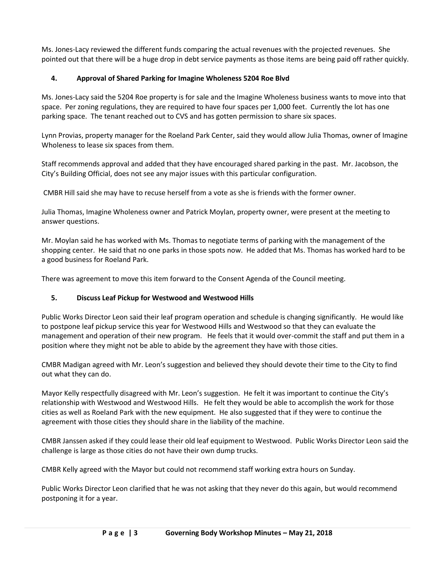Ms. Jones-Lacy reviewed the different funds comparing the actual revenues with the projected revenues. She pointed out that there will be a huge drop in debt service payments as those items are being paid off rather quickly.

## **4. Approval of Shared Parking for Imagine Wholeness 5204 Roe Blvd**

Ms. Jones-Lacy said the 5204 Roe property is for sale and the Imagine Wholeness business wants to move into that space. Per zoning regulations, they are required to have four spaces per 1,000 feet. Currently the lot has one parking space. The tenant reached out to CVS and has gotten permission to share six spaces.

Lynn Provias, property manager for the Roeland Park Center, said they would allow Julia Thomas, owner of Imagine Wholeness to lease six spaces from them.

Staff recommends approval and added that they have encouraged shared parking in the past. Mr. Jacobson, the City's Building Official, does not see any major issues with this particular configuration.

CMBR Hill said she may have to recuse herself from a vote as she is friends with the former owner.

Julia Thomas, Imagine Wholeness owner and Patrick Moylan, property owner, were present at the meeting to answer questions.

Mr. Moylan said he has worked with Ms. Thomas to negotiate terms of parking with the management of the shopping center. He said that no one parks in those spots now. He added that Ms. Thomas has worked hard to be a good business for Roeland Park.

There was agreement to move this item forward to the Consent Agenda of the Council meeting.

# **5. Discuss Leaf Pickup for Westwood and Westwood Hills**

Public Works Director Leon said their leaf program operation and schedule is changing significantly. He would like to postpone leaf pickup service this year for Westwood Hills and Westwood so that they can evaluate the management and operation of their new program. He feels that it would over-commit the staff and put them in a position where they might not be able to abide by the agreement they have with those cities.

CMBR Madigan agreed with Mr. Leon's suggestion and believed they should devote their time to the City to find out what they can do.

Mayor Kelly respectfully disagreed with Mr. Leon's suggestion. He felt it was important to continue the City's relationship with Westwood and Westwood Hills. He felt they would be able to accomplish the work for those cities as well as Roeland Park with the new equipment. He also suggested that if they were to continue the agreement with those cities they should share in the liability of the machine.

CMBR Janssen asked if they could lease their old leaf equipment to Westwood. Public Works Director Leon said the challenge is large as those cities do not have their own dump trucks.

CMBR Kelly agreed with the Mayor but could not recommend staff working extra hours on Sunday.

Public Works Director Leon clarified that he was not asking that they never do this again, but would recommend postponing it for a year.